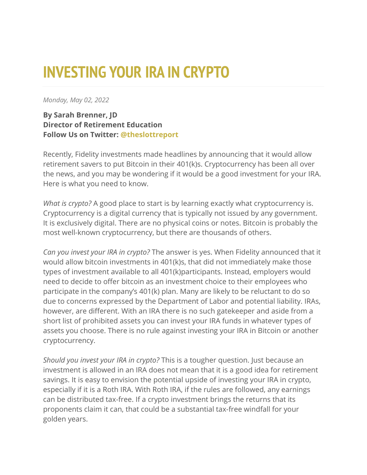## **INVESTING YOUR IRA IN CRYPTO**

*Monday, May 02, 2022*

## **By Sarah Brenner, JD Director of Retirement Education Follow Us on Twitter: [@theslottreport](https://twitter.com/theslottreport)**

Recently, Fidelity investments made headlines by announcing that it would allow retirement savers to put Bitcoin in their 401(k)s. Cryptocurrency has been all over the news, and you may be wondering if it would be a good investment for your IRA. Here is what you need to know.

*What is crypto?* A good place to start is by learning exactly what cryptocurrency is. Cryptocurrency is a digital currency that is typically not issued by any government. It is exclusively digital. There are no physical coins or notes. Bitcoin is probably the most well-known cryptocurrency, but there are thousands of others.

*Can you invest your IRA in crypto?* The answer is yes. When Fidelity announced that it would allow bitcoin investments in 401(k)s, that did not immediately make those types of investment available to all 401(k)participants. Instead, employers would need to decide to offer bitcoin as an investment choice to their employees who participate in the company's 401(k) plan. Many are likely to be reluctant to do so due to concerns expressed by the Department of Labor and potential liability. IRAs, however, are different. With an IRA there is no such gatekeeper and aside from a short list of prohibited assets you can invest your IRA funds in whatever types of assets you choose. There is no rule against investing your IRA in Bitcoin or another cryptocurrency.

*Should you invest your IRA in crypto?* This is a tougher question. Just because an investment is allowed in an IRA does not mean that it is a good idea for retirement savings. It is easy to envision the potential upside of investing your IRA in crypto, especially if it is a Roth IRA. With Roth IRA, if the rules are followed, any earnings can be distributed tax-free. If a crypto investment brings the returns that its proponents claim it can, that could be a substantial tax-free windfall for your golden years.